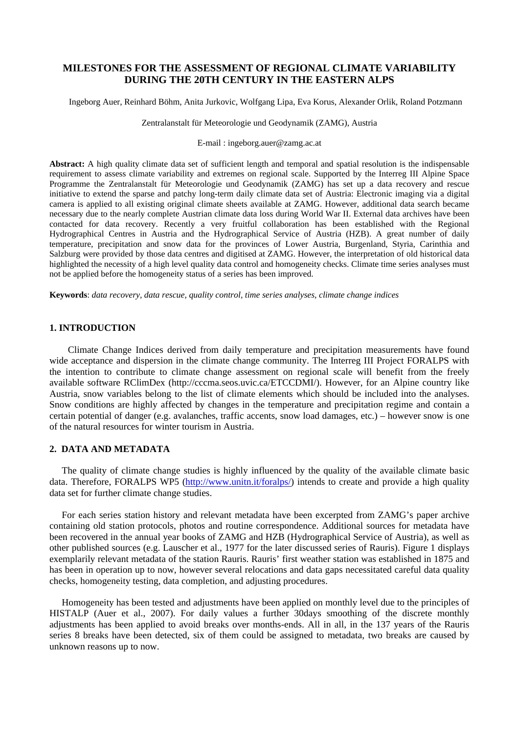# **MILESTONES FOR THE ASSESSMENT OF REGIONAL CLIMATE VARIABILITY DURING THE 20TH CENTURY IN THE EASTERN ALPS**

Ingeborg Auer, Reinhard Böhm, Anita Jurkovic, Wolfgang Lipa, Eva Korus, Alexander Orlik, Roland Potzmann

Zentralanstalt für Meteorologie und Geodynamik (ZAMG), Austria

E-mail : ingeborg.auer@zamg.ac.at

**Abstract:** A high quality climate data set of sufficient length and temporal and spatial resolution is the indispensable requirement to assess climate variability and extremes on regional scale. Supported by the Interreg III Alpine Space Programme the Zentralanstalt für Meteorologie und Geodynamik (ZAMG) has set up a data recovery and rescue initiative to extend the sparse and patchy long-term daily climate data set of Austria: Electronic imaging via a digital camera is applied to all existing original climate sheets available at ZAMG. However, additional data search became necessary due to the nearly complete Austrian climate data loss during World War II. External data archives have been contacted for data recovery. Recently a very fruitful collaboration has been established with the Regional Hydrographical Centres in Austria and the Hydrographical Service of Austria (HZB). A great number of daily temperature, precipitation and snow data for the provinces of Lower Austria, Burgenland, Styria, Carinthia and Salzburg were provided by those data centres and digitised at ZAMG. However, the interpretation of old historical data highlighted the necessity of a high level quality data control and homogeneity checks. Climate time series analyses must not be applied before the homogeneity status of a series has been improved.

**Keywords**: *data recovery, data rescue, quality control, time series analyses, climate change indices* 

## **1. INTRODUCTION**

Climate Change Indices derived from daily temperature and precipitation measurements have found wide acceptance and dispersion in the climate change community. The Interreg III Project FORALPS with the intention to contribute to climate change assessment on regional scale will benefit from the freely available software RClimDex (http://cccma.seos.uvic.ca/ETCCDMI/). However, for an Alpine country like Austria, snow variables belong to the list of climate elements which should be included into the analyses. Snow conditions are highly affected by changes in the temperature and precipitation regime and contain a certain potential of danger (e.g. avalanches, traffic accents, snow load damages, etc.) – however snow is one of the natural resources for winter tourism in Austria.

### **2. DATA AND METADATA**

The quality of climate change studies is highly influenced by the quality of the available climate basic data. Therefore, FORALPS WP5 (http://www.unitn.it/foralps/) intends to create and provide a high quality data set for further climate change studies.

For each series station history and relevant metadata have been excerpted from ZAMG's paper archive containing old station protocols, photos and routine correspondence. Additional sources for metadata have been recovered in the annual year books of ZAMG and HZB (Hydrographical Service of Austria), as well as other published sources (e.g. Lauscher et al., 1977 for the later discussed series of Rauris). Figure 1 displays exemplarily relevant metadata of the station Rauris. Rauris' first weather station was established in 1875 and has been in operation up to now, however several relocations and data gaps necessitated careful data quality checks, homogeneity testing, data completion, and adjusting procedures.

Homogeneity has been tested and adjustments have been applied on monthly level due to the principles of HISTALP (Auer et al., 2007). For daily values a further 30days smoothing of the discrete monthly adjustments has been applied to avoid breaks over months-ends. All in all, in the 137 years of the Rauris series 8 breaks have been detected, six of them could be assigned to metadata, two breaks are caused by unknown reasons up to now.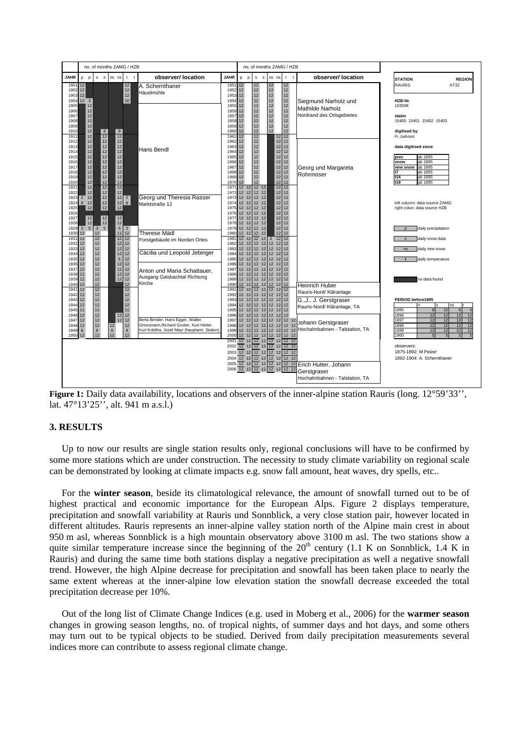

**Figure 1:** Daily data availability, locations and observers of the inner-alpine station Rauris (long. 12°59'33'', lat. 47°13'25'', alt. 941 m a.s.l.)

### **3. RESULTS**

Up to now our results are single station results only, regional conclusions will have to be confirmed by some more stations which are under construction. The necessity to study climate variability on regional scale can be demonstrated by looking at climate impacts e.g. snow fall amount, heat waves, dry spells, etc..

For the **winter season**, beside its climatological relevance, the amount of snowfall turned out to be of highest practical and economic importance for the European Alps. Figure 2 displays temperature, precipitation and snowfall variability at Rauris und Sonnblick, a very close station pair, however located in different altitudes. Rauris represents an inner-alpine valley station north of the Alpine main crest in about 950 m asl, whereas Sonnblick is a high mountain observatory above 3100 m asl. The two stations show a quite similar temperature increase since the beginning of the  $20<sup>th</sup>$  century (1.1 K on Sonnblick, 1.4 K in Rauris) and during the same time both stations display a negative precipitation as well a negative snowfall trend. However, the high Alpine decrease for precipitation and snowfall has been taken place to nearly the same extent whereas at the inner-alpine low elevation station the snowfall decrease exceeded the total precipitation decrease per 10%.

Out of the long list of Climate Change Indices (e.g. used in Moberg et al., 2006) for the **warmer season** changes in growing season lengths, no. of tropical nights, of summer days and hot days, and some others may turn out to be typical objects to be studied. Derived from daily precipitation measurements several indices more can contribute to assess regional climate change.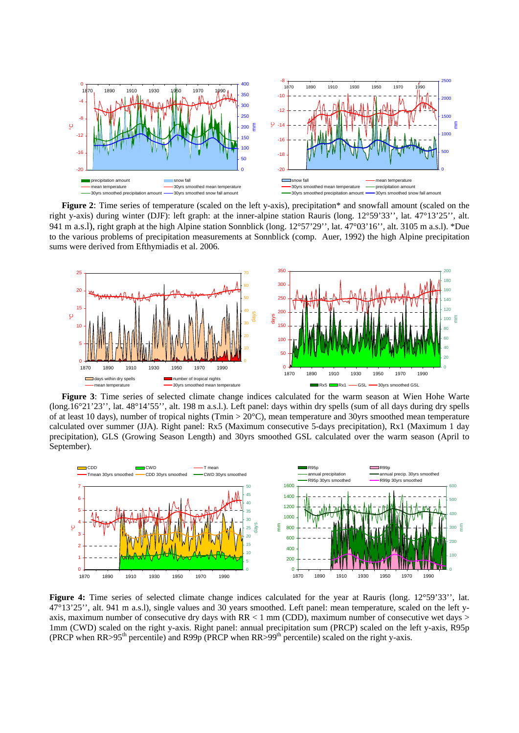

**Figure 2:** Time series of temperature (scaled on the left y-axis), precipitation\* and snowfall amount (scaled on the right y-axis) during winter (DJF): left graph: at the inner-alpine station Rauris (long. 12°59'33'', lat. 47°13'25'', alt. 941 m a.s.l), right graph at the high Alpine station Sonnblick (long. 12°57'29'', lat. 47°03'16'', alt. 3105 m a.s.l). \*Due to the various problems of precipitation measurements at Sonnblick (comp. Auer, 1992) the high Alpine precipitation sums were derived from Efthymiadis et al. 2006.



**Figure 3**: Time series of selected climate change indices calculated for the warm season at Wien Hohe Warte (long.16°21'23'', lat. 48°14'55'', alt. 198 m a.s.l.). Left panel: days within dry spells (sum of all days during dry spells of at least 10 days), number of tropical nights (Tmin > 20°C), mean temperature and 30yrs smoothed mean temperature calculated over summer (JJA). Right panel: Rx5 (Maximum consecutive 5-days precipitation), Rx1 (Maximum 1 day precipitation), GLS (Growing Season Length) and 30yrs smoothed GSL calculated over the warm season (April to September).



Figure 4: Time series of selected climate change indices calculated for the year at Rauris (long. 12°59'33'', lat. 47°13'25'', alt. 941 m a.s.l), single values and 30 years smoothed. Left panel: mean temperature, scaled on the left yaxis, maximum number of consecutive dry days with  $RR < 1$  mm (CDD), maximum number of consecutive wet days  $>$ 1mm (CWD) scaled on the right y-axis. Right panel: annual precipitation sum (PRCP) scaled on the left y-axis, R95p (PRCP when  $RR > 95<sup>th</sup>$  percentile) and  $R99p$  (PRCP when  $RR > 99<sup>th</sup>$  percentile) scaled on the right y-axis.